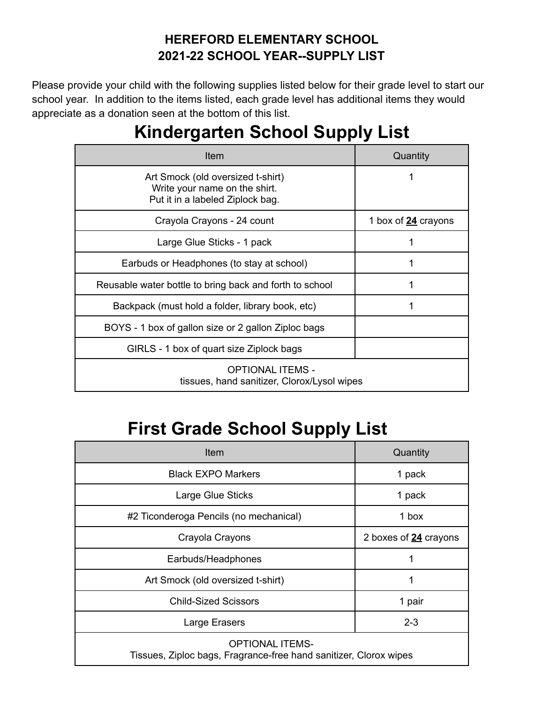#### **HEREFORD ELEMENTARY SCHOOL 2021-22 SCHOOL YEAR--SUPPLY LIST**

Please provide your child with the following supplies listed below for their grade level to start our school year. In addition to the items listed, each grade level has additional items they would appreciate as a donation seen at the bottom of this list.

# **Kindergarten School Supply List**

| Item                                                                                                   | Quantity            |
|--------------------------------------------------------------------------------------------------------|---------------------|
| Art Smock (old oversized t-shirt)<br>Write your name on the shirt.<br>Put it in a labeled Ziplock bag. |                     |
| Crayola Crayons - 24 count                                                                             | 1 box of 24 crayons |
| Large Glue Sticks - 1 pack                                                                             |                     |
| Earbuds or Headphones (to stay at school)                                                              | 1                   |
| Reusable water bottle to bring back and forth to school                                                |                     |
| Backpack (must hold a folder, library book, etc)                                                       |                     |
| BOYS - 1 box of gallon size or 2 gallon Ziploc bags                                                    |                     |
| GIRLS - 1 box of quart size Ziplock bags                                                               |                     |
| OPTIONAL ITEMS -<br>tissues, hand sanitizer, Clorox/Lysol wipes                                        |                     |

# **First Grade School Supply List**

| <b>Item</b>                                                                                 | Quantity              |
|---------------------------------------------------------------------------------------------|-----------------------|
| <b>Black EXPO Markers</b>                                                                   | 1 pack                |
| Large Glue Sticks                                                                           | 1 pack                |
| #2 Ticonderoga Pencils (no mechanical)                                                      | 1 box                 |
| Crayola Crayons                                                                             | 2 boxes of 24 crayons |
| Earbuds/Headphones                                                                          | 1                     |
| Art Smock (old oversized t-shirt)                                                           |                       |
| <b>Child-Sized Scissors</b>                                                                 | 1 pair                |
| Large Erasers                                                                               | $2 - 3$               |
| <b>OPTIONAL ITEMS-</b><br>Tissues, Ziploc bags, Fragrance-free hand sanitizer, Clorox wipes |                       |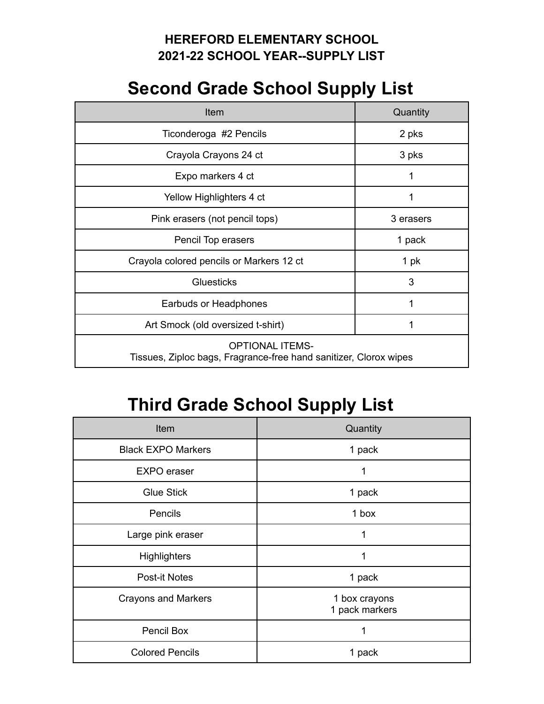#### **HEREFORD ELEMENTARY SCHOOL 2021-22 SCHOOL YEAR--SUPPLY LIST**

### **Second Grade School Supply List**

| <b>Item</b>                                                                                 | Quantity  |
|---------------------------------------------------------------------------------------------|-----------|
| Ticonderoga #2 Pencils                                                                      | 2 pks     |
| Crayola Crayons 24 ct                                                                       | 3 pks     |
| Expo markers 4 ct                                                                           | 1         |
| Yellow Highlighters 4 ct                                                                    | 1         |
| Pink erasers (not pencil tops)                                                              | 3 erasers |
| Pencil Top erasers                                                                          | 1 pack    |
| Crayola colored pencils or Markers 12 ct                                                    | 1 pk      |
| <b>Gluesticks</b>                                                                           | 3         |
| Earbuds or Headphones                                                                       | 1         |
| Art Smock (old oversized t-shirt)                                                           | 1         |
| <b>OPTIONAL ITEMS-</b><br>Tissues, Ziploc bags, Fragrance-free hand sanitizer, Clorox wipes |           |

# **Third Grade School Supply List**

| Item                       | Quantity                        |
|----------------------------|---------------------------------|
| <b>Black EXPO Markers</b>  | 1 pack                          |
| <b>EXPO</b> eraser         | 1                               |
| <b>Glue Stick</b>          | 1 pack                          |
| Pencils                    | 1 box                           |
| Large pink eraser          | 1                               |
| <b>Highlighters</b>        | 1                               |
| <b>Post-it Notes</b>       | 1 pack                          |
| <b>Crayons and Markers</b> | 1 box crayons<br>1 pack markers |
| Pencil Box                 | 1                               |
| <b>Colored Pencils</b>     | 1 pack                          |